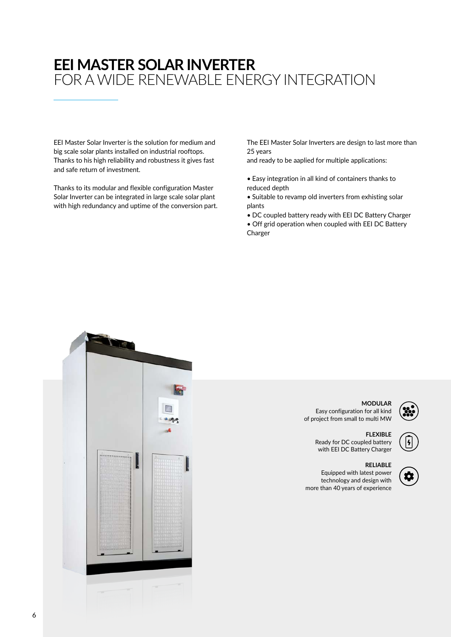# **EEI MASTER SOLAR INVERTER** FOR A WIDE RENEWABLE ENERGY INTEGRATION

EEI Master Solar Inverter is the solution for medium and big scale solar plants installed on industrial rooftops. Thanks to his high reliability and robustness it gives fast and safe return of investment.

Thanks to its modular and flexible configuration Master Solar Inverter can be integrated in large scale solar plant with high redundancy and uptime of the conversion part. The EEI Master Solar Inverters are design to last more than 25 years

and ready to be aaplied for multiple applications:

- Easy integration in all kind of containers thanks to reduced depth
- Suitable to revamp old inverters from exhisting solar plants
- DC coupled battery ready with EEI DC Battery Charger • Off grid operation when coupled with EEI DC Battery Charger



6

### **MODULAR** Easy configuration for all kind of project from small to multi MW

**FLEXIBLE** Ready for DC coupled battery

## with EEI DC Battery Charger

#### **RELIABLE**

Equipped with latest power technology and design with more than 40 years of experience